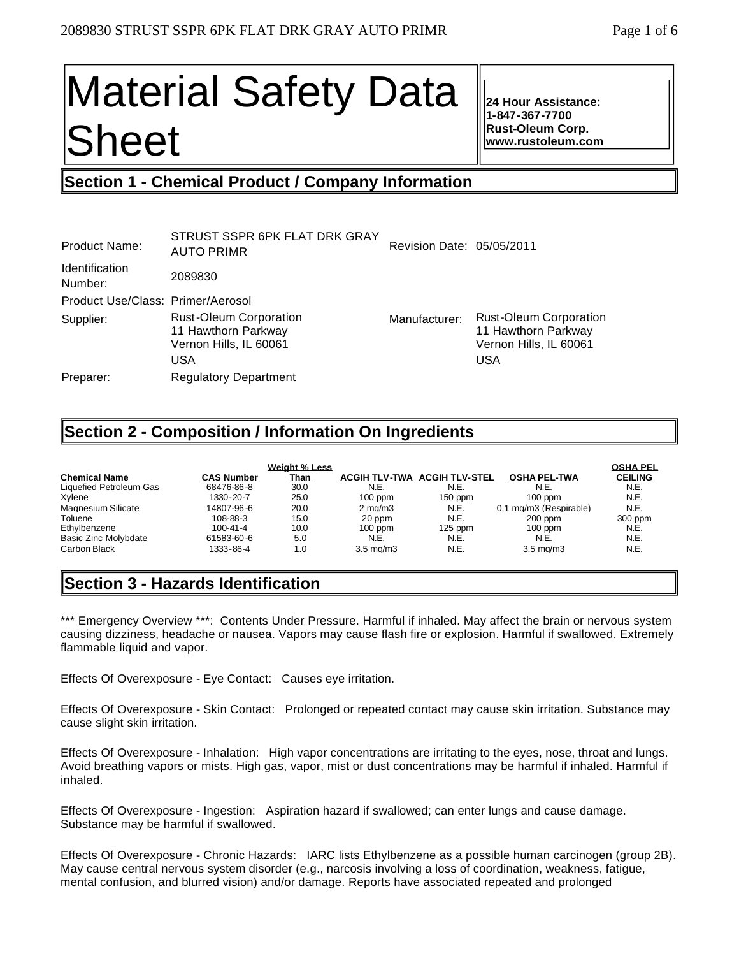# Material Safety Data Sheet

**24 Hour Assistance: 1-847-367-7700 Rust-Oleum Corp. www.rustoleum.com**

## **Section 1 - Chemical Product / Company Information**

|                                                                                              | Revision Date: 05/05/2011 |                                                                                       |
|----------------------------------------------------------------------------------------------|---------------------------|---------------------------------------------------------------------------------------|
| 2089830                                                                                      |                           |                                                                                       |
| Product Use/Class: Primer/Aerosol                                                            |                           |                                                                                       |
| <b>Rust-Oleum Corporation</b><br>11 Hawthorn Parkway<br>Vernon Hills, IL 60061<br><b>USA</b> | Manufacturer:             | <b>Rust-Oleum Corporation</b><br>11 Hawthorn Parkway<br>Vernon Hills, IL 60061<br>USA |
| <b>Regulatory Department</b>                                                                 |                           |                                                                                       |
|                                                                                              | <b>AUTO PRIMR</b>         |                                                                                       |

## **Section 2 - Composition / Information On Ingredients**

| <b>Chemical Name</b><br>Liquefied Petroleum Gas<br>Xylene | <b>CAS Number</b><br>68476-86-8<br>1330-20-7 | Weight % Less<br><u>Than</u><br>30.0<br>25.0 | <b>ACGIH TLV-TWA</b><br>N.E.<br>$100$ ppm | <b>ACGIH TLV-STEL</b><br>N.E.<br>$150$ ppm | <b>OSHA PEL-TWA</b><br>N.E.<br>$100$ ppm | <b>OSHA PEL</b><br><b>CEILING</b><br>N.E.<br>N.E. |
|-----------------------------------------------------------|----------------------------------------------|----------------------------------------------|-------------------------------------------|--------------------------------------------|------------------------------------------|---------------------------------------------------|
| <b>Magnesium Silicate</b><br>Toluene                      | 14807-96-6<br>108-88-3                       | 20.0<br>15.0                                 | $2 \text{ ma/m}$ 3                        | N.E.<br>N.E.                               | 0.1 mg/m3 (Respirable)                   | N.E.<br>300 ppm                                   |
| Ethylbenzene                                              | $100 - 41 - 4$                               | 10.0                                         | 20 ppm<br>$100$ ppm                       | $125$ ppm                                  | $200$ ppm<br>$100$ ppm                   | N.E.                                              |
| Basic Zinc Molybdate<br>Carbon Black                      | 61583-60-6<br>1333-86-4                      | 5.0<br>1.0                                   | N.E.<br>$3.5 \text{ ma/m}$ 3              | N.E.<br>N.E.                               | N.E.<br>$3.5 \text{ ma/m}$ 3             | N.E.<br>N.E.                                      |

## **Section 3 - Hazards Identification**

\*\*\* Emergency Overview \*\*\*: Contents Under Pressure. Harmful if inhaled. May affect the brain or nervous system causing dizziness, headache or nausea. Vapors may cause flash fire or explosion. Harmful if swallowed. Extremely flammable liquid and vapor.

Effects Of Overexposure - Eye Contact: Causes eye irritation.

Effects Of Overexposure - Skin Contact: Prolonged or repeated contact may cause skin irritation. Substance may cause slight skin irritation.

Effects Of Overexposure - Inhalation: High vapor concentrations are irritating to the eyes, nose, throat and lungs. Avoid breathing vapors or mists. High gas, vapor, mist or dust concentrations may be harmful if inhaled. Harmful if inhaled.

Effects Of Overexposure - Ingestion: Aspiration hazard if swallowed; can enter lungs and cause damage. Substance may be harmful if swallowed.

Effects Of Overexposure - Chronic Hazards: IARC lists Ethylbenzene as a possible human carcinogen (group 2B). May cause central nervous system disorder (e.g., narcosis involving a loss of coordination, weakness, fatigue, mental confusion, and blurred vision) and/or damage. Reports have associated repeated and prolonged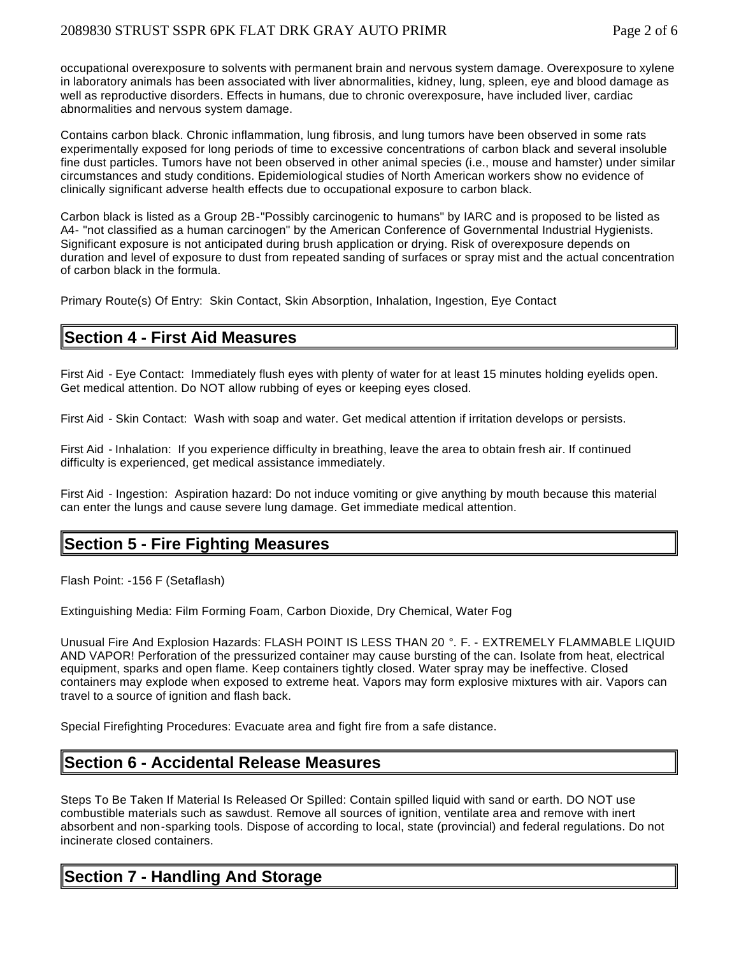occupational overexposure to solvents with permanent brain and nervous system damage. Overexposure to xylene in laboratory animals has been associated with liver abnormalities, kidney, lung, spleen, eye and blood damage as well as reproductive disorders. Effects in humans, due to chronic overexposure, have included liver, cardiac abnormalities and nervous system damage.

Contains carbon black. Chronic inflammation, lung fibrosis, and lung tumors have been observed in some rats experimentally exposed for long periods of time to excessive concentrations of carbon black and several insoluble fine dust particles. Tumors have not been observed in other animal species (i.e., mouse and hamster) under similar circumstances and study conditions. Epidemiological studies of North American workers show no evidence of clinically significant adverse health effects due to occupational exposure to carbon black.

Carbon black is listed as a Group 2B-"Possibly carcinogenic to humans" by IARC and is proposed to be listed as A4- "not classified as a human carcinogen" by the American Conference of Governmental Industrial Hygienists. Significant exposure is not anticipated during brush application or drying. Risk of overexposure depends on duration and level of exposure to dust from repeated sanding of surfaces or spray mist and the actual concentration of carbon black in the formula.

Primary Route(s) Of Entry: Skin Contact, Skin Absorption, Inhalation, Ingestion, Eye Contact

## **Section 4 - First Aid Measures**

First Aid - Eye Contact: Immediately flush eyes with plenty of water for at least 15 minutes holding eyelids open. Get medical attention. Do NOT allow rubbing of eyes or keeping eyes closed.

First Aid - Skin Contact: Wash with soap and water. Get medical attention if irritation develops or persists.

First Aid - Inhalation: If you experience difficulty in breathing, leave the area to obtain fresh air. If continued difficulty is experienced, get medical assistance immediately.

First Aid - Ingestion: Aspiration hazard: Do not induce vomiting or give anything by mouth because this material can enter the lungs and cause severe lung damage. Get immediate medical attention.

## **Section 5 - Fire Fighting Measures**

Flash Point: -156 F (Setaflash)

Extinguishing Media: Film Forming Foam, Carbon Dioxide, Dry Chemical, Water Fog

Unusual Fire And Explosion Hazards: FLASH POINT IS LESS THAN 20 °. F. - EXTREMELY FLAMMABLE LIQUID AND VAPOR! Perforation of the pressurized container may cause bursting of the can. Isolate from heat, electrical equipment, sparks and open flame. Keep containers tightly closed. Water spray may be ineffective. Closed containers may explode when exposed to extreme heat. Vapors may form explosive mixtures with air. Vapors can travel to a source of ignition and flash back.

Special Firefighting Procedures: Evacuate area and fight fire from a safe distance.

## **Section 6 - Accidental Release Measures**

Steps To Be Taken If Material Is Released Or Spilled: Contain spilled liquid with sand or earth. DO NOT use combustible materials such as sawdust. Remove all sources of ignition, ventilate area and remove with inert absorbent and non-sparking tools. Dispose of according to local, state (provincial) and federal regulations. Do not incinerate closed containers.

## **Section 7 - Handling And Storage**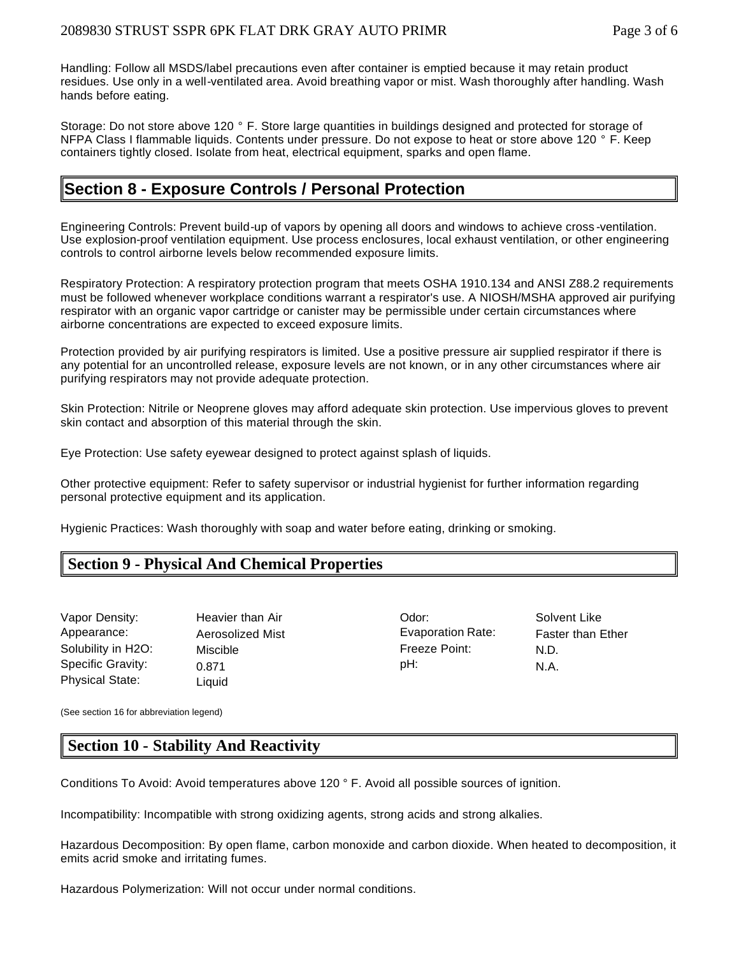Handling: Follow all MSDS/label precautions even after container is emptied because it may retain product residues. Use only in a well-ventilated area. Avoid breathing vapor or mist. Wash thoroughly after handling. Wash hands before eating.

Storage: Do not store above 120 ° F. Store large quantities in buildings designed and protected for storage of NFPA Class I flammable liquids. Contents under pressure. Do not expose to heat or store above 120 ° F. Keep containers tightly closed. Isolate from heat, electrical equipment, sparks and open flame.

## **Section 8 - Exposure Controls / Personal Protection**

Engineering Controls: Prevent build-up of vapors by opening all doors and windows to achieve cross -ventilation. Use explosion-proof ventilation equipment. Use process enclosures, local exhaust ventilation, or other engineering controls to control airborne levels below recommended exposure limits.

Respiratory Protection: A respiratory protection program that meets OSHA 1910.134 and ANSI Z88.2 requirements must be followed whenever workplace conditions warrant a respirator's use. A NIOSH/MSHA approved air purifying respirator with an organic vapor cartridge or canister may be permissible under certain circumstances where airborne concentrations are expected to exceed exposure limits.

Protection provided by air purifying respirators is limited. Use a positive pressure air supplied respirator if there is any potential for an uncontrolled release, exposure levels are not known, or in any other circumstances where air purifying respirators may not provide adequate protection.

Skin Protection: Nitrile or Neoprene gloves may afford adequate skin protection. Use impervious gloves to prevent skin contact and absorption of this material through the skin.

Eye Protection: Use safety eyewear designed to protect against splash of liquids.

Other protective equipment: Refer to safety supervisor or industrial hygienist for further information regarding personal protective equipment and its application.

Hygienic Practices: Wash thoroughly with soap and water before eating, drinking or smoking.

## **Section 9 - Physical And Chemical Properties**

| Vapor Density:         | Heavier than Air | Odor:             | Solv |
|------------------------|------------------|-------------------|------|
| Appearance:            | Aerosolized Mist | Evaporation Rate: | Fast |
| Solubility in H2O:     | Miscible         | Freeze Point:     | N.D. |
| Specific Gravity:      | 0.871            | pH:               | N.A. |
| <b>Physical State:</b> | Liquid           |                   |      |

Pavier than Air **Network**: Odor: Solvent Like rosolized Mist **Exaporation Rate:** Faster than Ether scible in H2O: Miscle Point: N.D.

(See section 16 for abbreviation legend)

## **Section 10 - Stability And Reactivity**

Conditions To Avoid: Avoid temperatures above 120 ° F. Avoid all possible sources of ignition.

Incompatibility: Incompatible with strong oxidizing agents, strong acids and strong alkalies.

Hazardous Decomposition: By open flame, carbon monoxide and carbon dioxide. When heated to decomposition, it emits acrid smoke and irritating fumes.

Hazardous Polymerization: Will not occur under normal conditions.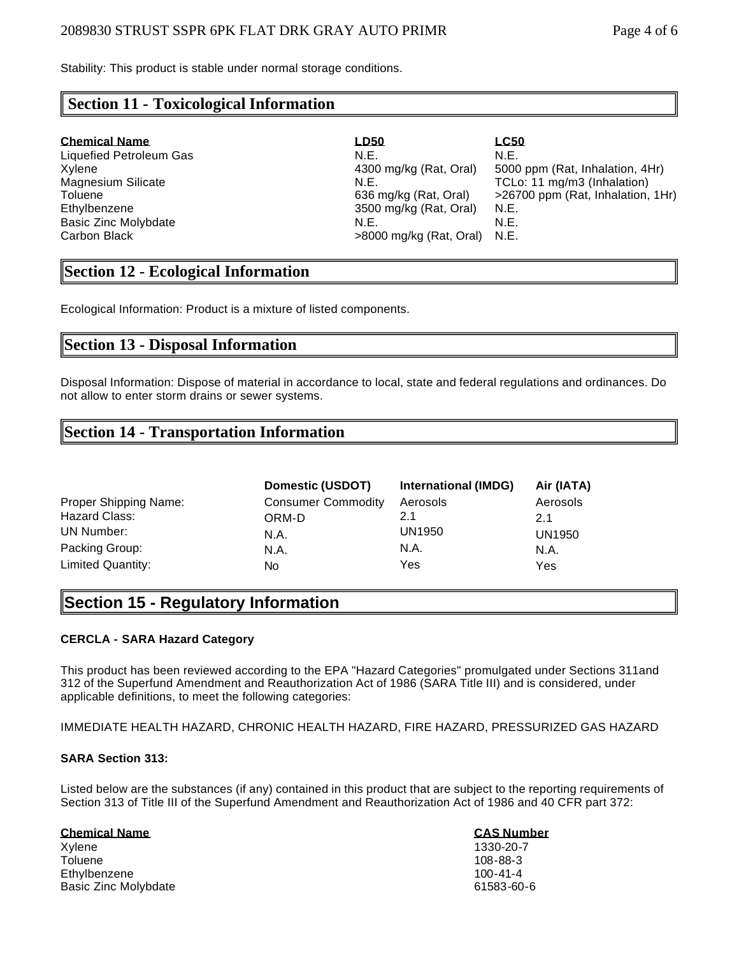Stability: This product is stable under normal storage conditions.

## **Section 11 - Toxicological Information**

| <b>Chemical Name</b>      | <b>LD50</b>                    | <u>LC50</u>                       |
|---------------------------|--------------------------------|-----------------------------------|
| Liquefied Petroleum Gas   | N.E.                           | N.E.                              |
| Xylene                    | 4300 mg/kg (Rat, Oral)         | 5000 ppm (Rat, Inhalation, 4Hr)   |
| <b>Magnesium Silicate</b> | N.E.                           | TCLo: 11 mg/m3 (Inhalation)       |
| Toluene                   | 636 mg/kg (Rat, Oral)          | >26700 ppm (Rat, Inhalation, 1Hr) |
| Ethylbenzene              | 3500 mg/kg (Rat, Oral)         | N.E.                              |
| Basic Zinc Molybdate      | N.E.                           | N.E.                              |
| Carbon Black              | $>8000$ mg/kg (Rat, Oral) N.E. |                                   |

## **Section 12 - Ecological Information**

Ecological Information: Product is a mixture of listed components.

## **Section 13 - Disposal Information**

Disposal Information: Dispose of material in accordance to local, state and federal regulations and ordinances. Do not allow to enter storm drains or sewer systems.

## **Section 14 - Transportation Information**

|                       | Domestic (USDOT)          | International (IMDG) | Air (IATA)    |
|-----------------------|---------------------------|----------------------|---------------|
| Proper Shipping Name: | <b>Consumer Commodity</b> | Aerosols             | Aerosols      |
| Hazard Class:         | ORM-D                     | 2.1                  | 2.1           |
| UN Number:            | N.A.                      | UN1950               | <b>UN1950</b> |
| Packing Group:        | N.A.                      | N.A.                 | N.A.          |
| Limited Quantity:     | No                        | Yes                  | Yes           |

## **Section 15 - Regulatory Information**

#### **CERCLA - SARA Hazard Category**

This product has been reviewed according to the EPA "Hazard Categories" promulgated under Sections 311and 312 of the Superfund Amendment and Reauthorization Act of 1986 (SARA Title III) and is considered, under applicable definitions, to meet the following categories:

IMMEDIATE HEALTH HAZARD, CHRONIC HEALTH HAZARD, FIRE HAZARD, PRESSURIZED GAS HAZARD

#### **SARA Section 313:**

Listed below are the substances (if any) contained in this product that are subject to the reporting requirements of Section 313 of Title III of the Superfund Amendment and Reauthorization Act of 1986 and 40 CFR part 372:

| <b>Chemical Name</b> | <b>CAS Number</b> |
|----------------------|-------------------|
| Xylene               | 1330-20-7         |
| Toluene              | $108 - 88 - 3$    |
| Ethvlbenzene         | $100 - 41 - 4$    |
| Basic Zinc Molvbdate | 61583-60-6        |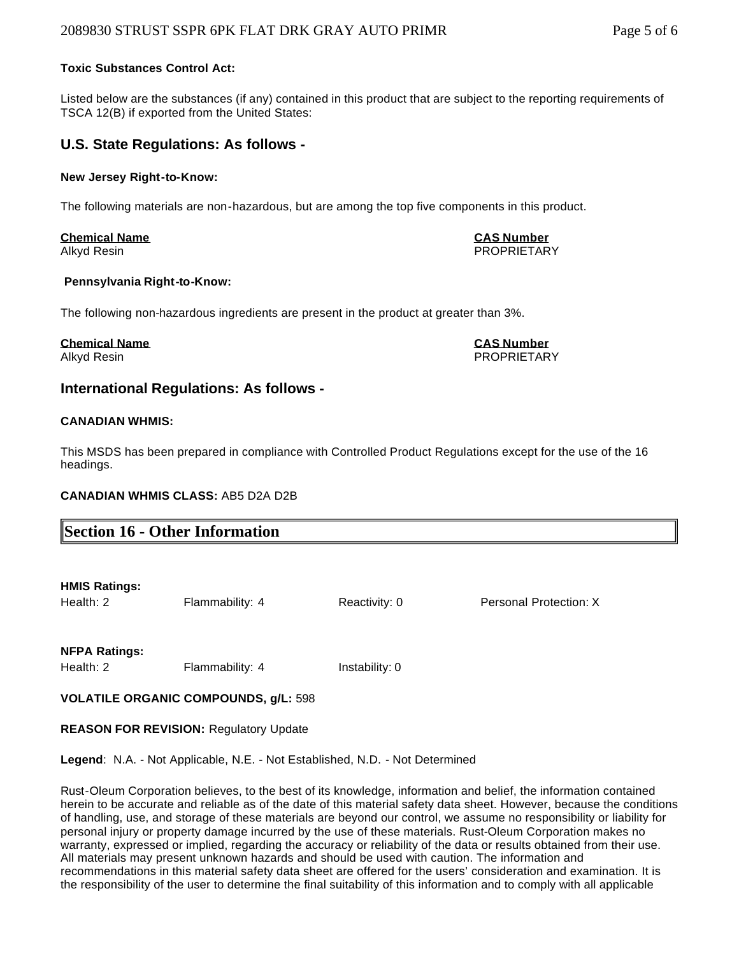#### **Toxic Substances Control Act:**

Listed below are the substances (if any) contained in this product that are subject to the reporting requirements of TSCA 12(B) if exported from the United States:

#### **U.S. State Regulations: As follows -**

#### **New Jersey Right-to-Know:**

The following materials are non-hazardous, but are among the top five components in this product.

## **Chemical Name CAS Number**

## Alkyd Resin PROPRIETARY

#### **Pennsylvania Right-to-Know:**

The following non-hazardous ingredients are present in the product at greater than 3%.

#### **Chemical Name CAS Number**

Alkyd Resin PROPRIETARY

#### **International Regulations: As follows -**

#### **CANADIAN WHMIS:**

This MSDS has been prepared in compliance with Controlled Product Regulations except for the use of the 16 headings.

#### **CANADIAN WHMIS CLASS:** AB5 D2A D2B

|--|

#### **HMIS Ratings:**

Health: 2 Flammability: 4 Reactivity: 0 Personal Protection: X

#### **NFPA Ratings:**

Health: 2 Flammability: 4 Instability: 0

#### **VOLATILE ORGANIC COMPOUNDS, g/L:** 598

**REASON FOR REVISION:** Regulatory Update

**Legend**: N.A. - Not Applicable, N.E. - Not Established, N.D. - Not Determined

Rust-Oleum Corporation believes, to the best of its knowledge, information and belief, the information contained herein to be accurate and reliable as of the date of this material safety data sheet. However, because the conditions of handling, use, and storage of these materials are beyond our control, we assume no responsibility or liability for personal injury or property damage incurred by the use of these materials. Rust-Oleum Corporation makes no warranty, expressed or implied, regarding the accuracy or reliability of the data or results obtained from their use. All materials may present unknown hazards and should be used with caution. The information and recommendations in this material safety data sheet are offered for the users' consideration and examination. It is the responsibility of the user to determine the final suitability of this information and to comply with all applicable